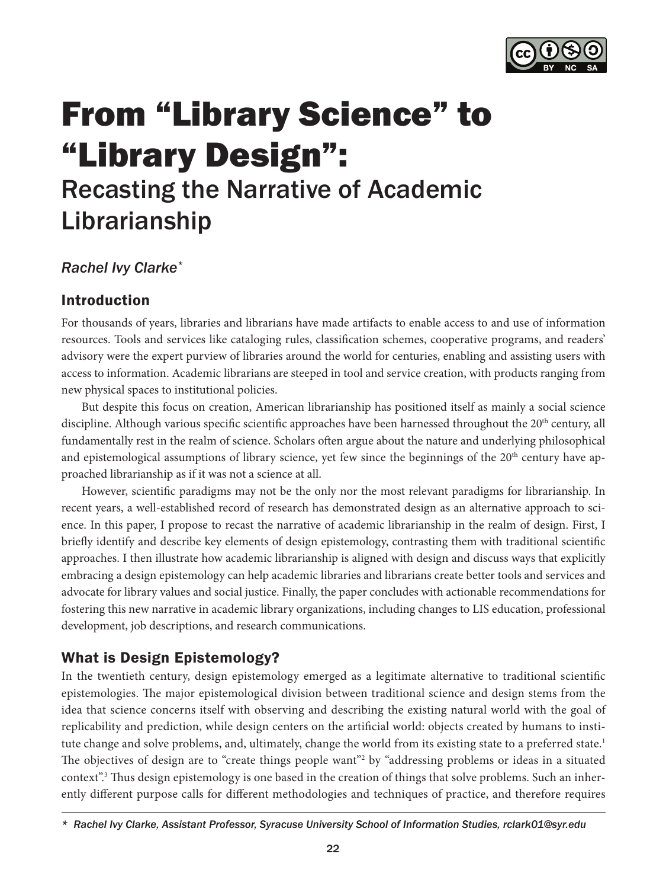

# From "Library Science" to "Library Design": Recasting the Narrative of Academic Librarianship

# *Rachel Ivy Clarke\**

# Introduction

For thousands of years, libraries and librarians have made artifacts to enable access to and use of information resources. Tools and services like cataloging rules, classification schemes, cooperative programs, and readers' advisory were the expert purview of libraries around the world for centuries, enabling and assisting users with access to information. Academic librarians are steeped in tool and service creation, with products ranging from new physical spaces to institutional policies.

But despite this focus on creation, American librarianship has positioned itself as mainly a social science discipline. Although various specific scientific approaches have been harnessed throughout the 20<sup>th</sup> century, all fundamentally rest in the realm of science. Scholars often argue about the nature and underlying philosophical and epistemological assumptions of library science, yet few since the beginnings of the 20<sup>th</sup> century have approached librarianship as if it was not a science at all.

However, scientific paradigms may not be the only nor the most relevant paradigms for librarianship. In recent years, a well-established record of research has demonstrated design as an alternative approach to science. In this paper, I propose to recast the narrative of academic librarianship in the realm of design. First, I briefly identify and describe key elements of design epistemology, contrasting them with traditional scientific approaches. I then illustrate how academic librarianship is aligned with design and discuss ways that explicitly embracing a design epistemology can help academic libraries and librarians create better tools and services and advocate for library values and social justice. Finally, the paper concludes with actionable recommendations for fostering this new narrative in academic library organizations, including changes to LIS education, professional development, job descriptions, and research communications.

# What is Design Epistemology?

In the twentieth century, design epistemology emerged as a legitimate alternative to traditional scientific epistemologies. The major epistemological division between traditional science and design stems from the idea that science concerns itself with observing and describing the existing natural world with the goal of replicability and prediction, while design centers on the artificial world: objects created by humans to institute change and solve problems, and, ultimately, change the world from its existing state to a preferred state.<sup>1</sup> The objectives of design are to "create things people want"<sup>2</sup> by "addressing problems or ideas in a situated context".3 Thus design epistemology is one based in the creation of things that solve problems. Such an inherently different purpose calls for different methodologies and techniques of practice, and therefore requires

*<sup>\*</sup> Rachel Ivy Clarke, Assistant Professor, Syracuse University School of Information Studies, [rclark01@syr.edu](mailto:rclark01@syr.edu)*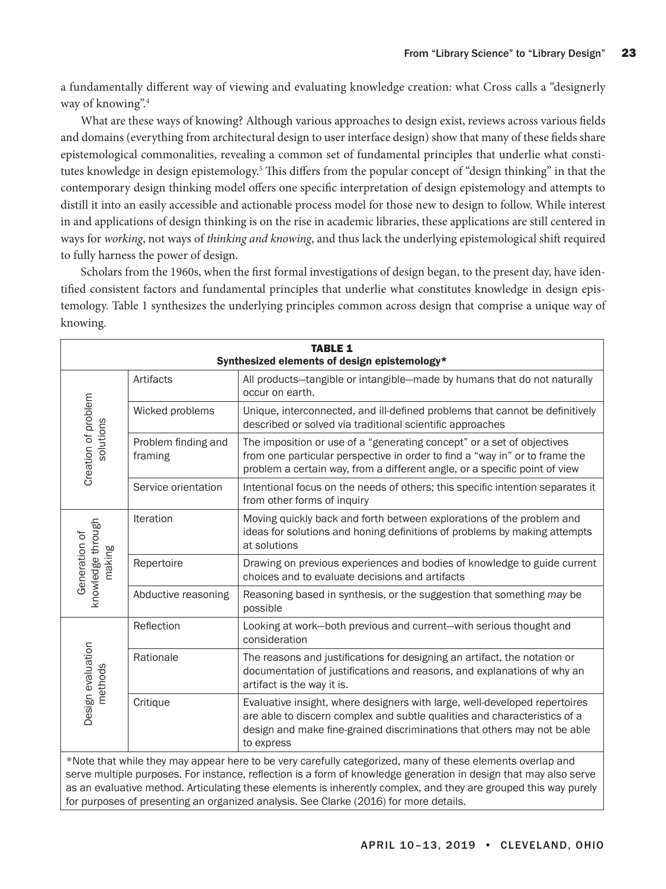a fundamentally different way of viewing and evaluating knowledge creation: what Cross calls a "designerly way of knowing".4

What are these ways of knowing? Although various approaches to design exist, reviews across various fields and domains (everything from architectural design to user interface design) show that many of these fields share epistemological commonalities, revealing a common set of fundamental principles that underlie what constitutes knowledge in design epistemology.<sup>5</sup> This differs from the popular concept of "design thinking" in that the contemporary design thinking model offers one specific interpretation of design epistemology and attempts to distill it into an easily accessible and actionable process model for those new to design to follow. While interest in and applications of design thinking is on the rise in academic libraries, these applications are still centered in ways for *working*, not ways of *thinking and knowing*, and thus lack the underlying epistemological shift required to fully harness the power of design.

Scholars from the 1960s, when the first formal investigations of design began, to the present day, have identified consistent factors and fundamental principles that underlie what constitutes knowledge in design epistemology. Table 1 synthesizes the underlying principles common across design that comprise a unique way of knowing.

| <b>TABLE 1</b><br>Synthesized elements of design epistemology*                                                                                                                                                                                                                                                                                                                                                                               |                                |                                                                                                                                                                                                                                                   |
|----------------------------------------------------------------------------------------------------------------------------------------------------------------------------------------------------------------------------------------------------------------------------------------------------------------------------------------------------------------------------------------------------------------------------------------------|--------------------------------|---------------------------------------------------------------------------------------------------------------------------------------------------------------------------------------------------------------------------------------------------|
| Creation of problem<br>solutions                                                                                                                                                                                                                                                                                                                                                                                                             | Artifacts                      | All products-tangible or intangible-made by humans that do not naturally<br>occur on earth.                                                                                                                                                       |
|                                                                                                                                                                                                                                                                                                                                                                                                                                              | Wicked problems                | Unique, interconnected, and ill-defined problems that cannot be definitively<br>described or solved via traditional scientific approaches                                                                                                         |
|                                                                                                                                                                                                                                                                                                                                                                                                                                              | Problem finding and<br>framing | The imposition or use of a "generating concept" or a set of objectives<br>from one particular perspective in order to find a "way in" or to frame the<br>problem a certain way, from a different angle, or a specific point of view               |
|                                                                                                                                                                                                                                                                                                                                                                                                                                              | Service orientation            | Intentional focus on the needs of others; this specific intention separates it<br>from other forms of inquiry                                                                                                                                     |
| knowledge through<br>Generation of<br>making                                                                                                                                                                                                                                                                                                                                                                                                 | Iteration                      | Moving quickly back and forth between explorations of the problem and<br>ideas for solutions and honing definitions of problems by making attempts<br>at solutions                                                                                |
|                                                                                                                                                                                                                                                                                                                                                                                                                                              | Repertoire                     | Drawing on previous experiences and bodies of knowledge to guide current<br>choices and to evaluate decisions and artifacts                                                                                                                       |
|                                                                                                                                                                                                                                                                                                                                                                                                                                              | Abductive reasoning            | Reasoning based in synthesis, or the suggestion that something may be<br>possible                                                                                                                                                                 |
| Design evaluation<br>methods                                                                                                                                                                                                                                                                                                                                                                                                                 | Reflection                     | Looking at work-both previous and current-with serious thought and<br>consideration                                                                                                                                                               |
|                                                                                                                                                                                                                                                                                                                                                                                                                                              | Rationale                      | The reasons and justifications for designing an artifact, the notation or<br>documentation of justifications and reasons, and explanations of why an<br>artifact is the way it is.                                                                |
|                                                                                                                                                                                                                                                                                                                                                                                                                                              | Critique                       | Evaluative insight, where designers with large, well-developed repertoires<br>are able to discern complex and subtle qualities and characteristics of a<br>design and make fine-grained discriminations that others may not be able<br>to express |
| *Note that while they may appear here to be very carefully categorized, many of these elements overlap and<br>serve multiple purposes. For instance, reflection is a form of knowledge generation in design that may also serve<br>as an evaluative method. Articulating these elements is inherently complex, and they are grouped this way purely<br>for purposes of presenting an organized analysis. See Clarke (2016) for more details. |                                |                                                                                                                                                                                                                                                   |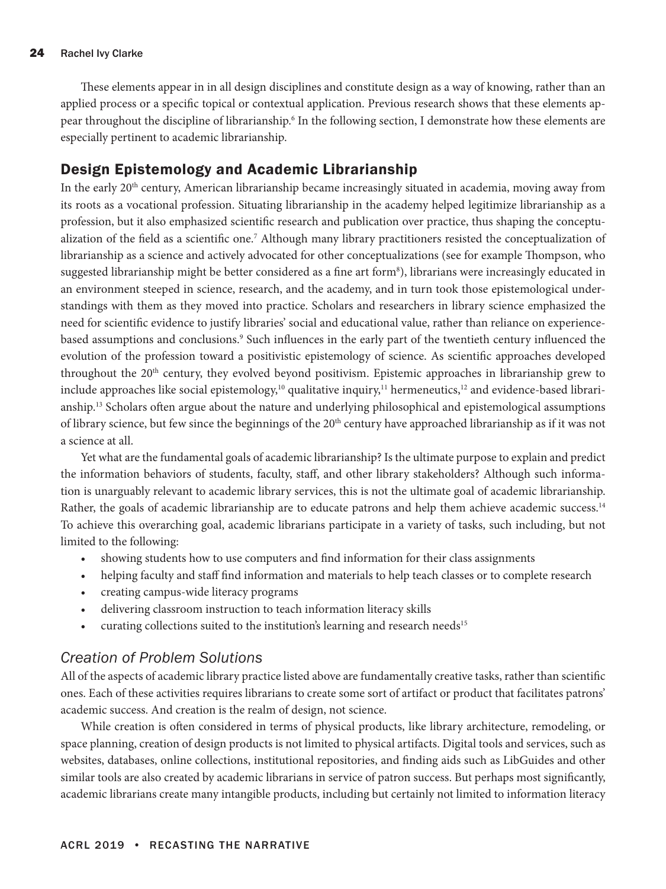These elements appear in in all design disciplines and constitute design as a way of knowing, rather than an applied process or a specific topical or contextual application. Previous research shows that these elements appear throughout the discipline of librarianship.<sup>6</sup> In the following section, I demonstrate how these elements are especially pertinent to academic librarianship.

## Design Epistemology and Academic Librarianship

In the early 20<sup>th</sup> century, American librarianship became increasingly situated in academia, moving away from its roots as a vocational profession. Situating librarianship in the academy helped legitimize librarianship as a profession, but it also emphasized scientific research and publication over practice, thus shaping the conceptualization of the field as a scientific one.<sup>7</sup> Although many library practitioners resisted the conceptualization of librarianship as a science and actively advocated for other conceptualizations (see for example Thompson, who suggested librarianship might be better considered as a fine art form<sup>8</sup>), librarians were increasingly educated in an environment steeped in science, research, and the academy, and in turn took those epistemological understandings with them as they moved into practice. Scholars and researchers in library science emphasized the need for scientific evidence to justify libraries' social and educational value, rather than reliance on experiencebased assumptions and conclusions.<sup>9</sup> Such influences in the early part of the twentieth century influenced the evolution of the profession toward a positivistic epistemology of science. As scientific approaches developed throughout the 20<sup>th</sup> century, they evolved beyond positivism. Epistemic approaches in librarianship grew to include approaches like social epistemology,<sup>10</sup> qualitative inquiry,<sup>11</sup> hermeneutics,<sup>12</sup> and evidence-based librarianship.13 Scholars often argue about the nature and underlying philosophical and epistemological assumptions of library science, but few since the beginnings of the  $20<sup>th</sup>$  century have approached librarianship as if it was not a science at all.

Yet what are the fundamental goals of academic librarianship? Is the ultimate purpose to explain and predict the information behaviors of students, faculty, staff, and other library stakeholders? Although such information is unarguably relevant to academic library services, this is not the ultimate goal of academic librarianship. Rather, the goals of academic librarianship are to educate patrons and help them achieve academic success.<sup>14</sup> To achieve this overarching goal, academic librarians participate in a variety of tasks, such including, but not limited to the following:

- showing students how to use computers and find information for their class assignments
- helping faculty and staff find information and materials to help teach classes or to complete research
- creating campus-wide literacy programs
- delivering classroom instruction to teach information literacy skills
- curating collections suited to the institution's learning and research needs<sup>15</sup>

### *Creation of Problem Solutions*

All of the aspects of academic library practice listed above are fundamentally creative tasks, rather than scientific ones. Each of these activities requires librarians to create some sort of artifact or product that facilitates patrons' academic success. And creation is the realm of design, not science.

While creation is often considered in terms of physical products, like library architecture, remodeling, or space planning, creation of design products is not limited to physical artifacts. Digital tools and services, such as websites, databases, online collections, institutional repositories, and finding aids such as LibGuides and other similar tools are also created by academic librarians in service of patron success. But perhaps most significantly, academic librarians create many intangible products, including but certainly not limited to information literacy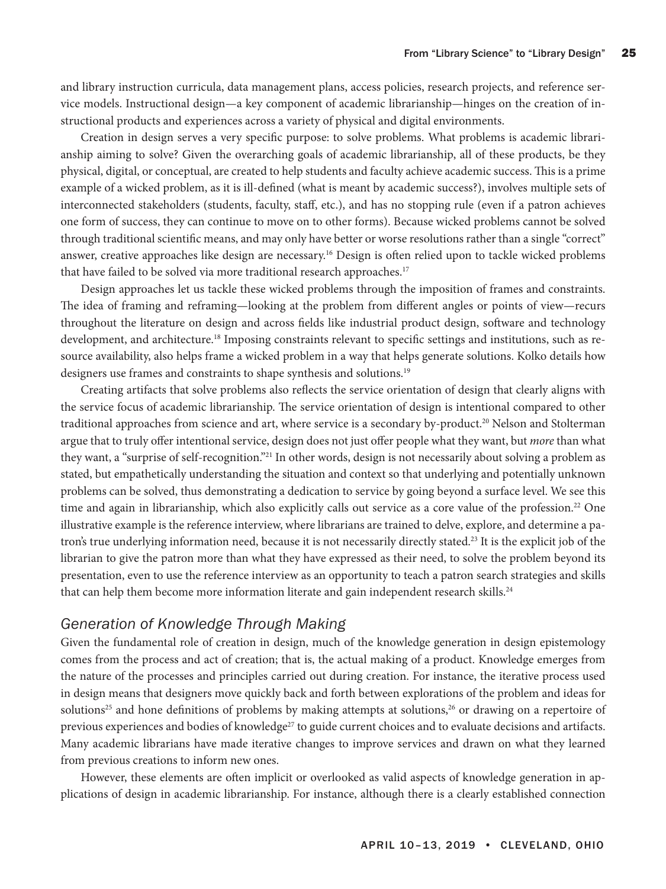and library instruction curricula, data management plans, access policies, research projects, and reference service models. Instructional design—a key component of academic librarianship—hinges on the creation of instructional products and experiences across a variety of physical and digital environments.

Creation in design serves a very specific purpose: to solve problems. What problems is academic librarianship aiming to solve? Given the overarching goals of academic librarianship, all of these products, be they physical, digital, or conceptual, are created to help students and faculty achieve academic success. This is a prime example of a wicked problem, as it is ill-defined (what is meant by academic success?), involves multiple sets of interconnected stakeholders (students, faculty, staff, etc.), and has no stopping rule (even if a patron achieves one form of success, they can continue to move on to other forms). Because wicked problems cannot be solved through traditional scientific means, and may only have better or worse resolutions rather than a single "correct" answer, creative approaches like design are necessary.16 Design is often relied upon to tackle wicked problems that have failed to be solved via more traditional research approaches.<sup>17</sup>

Design approaches let us tackle these wicked problems through the imposition of frames and constraints. The idea of framing and reframing—looking at the problem from different angles or points of view—recurs throughout the literature on design and across fields like industrial product design, software and technology development, and architecture.<sup>18</sup> Imposing constraints relevant to specific settings and institutions, such as resource availability, also helps frame a wicked problem in a way that helps generate solutions. Kolko details how designers use frames and constraints to shape synthesis and solutions.19

Creating artifacts that solve problems also reflects the service orientation of design that clearly aligns with the service focus of academic librarianship. The service orientation of design is intentional compared to other traditional approaches from science and art, where service is a secondary by-product.<sup>20</sup> Nelson and Stolterman argue that to truly offer intentional service, design does not just offer people what they want, but *more* than what they want, a "surprise of self-recognition."21 In other words, design is not necessarily about solving a problem as stated, but empathetically understanding the situation and context so that underlying and potentially unknown problems can be solved, thus demonstrating a dedication to service by going beyond a surface level. We see this time and again in librarianship, which also explicitly calls out service as a core value of the profession.<sup>22</sup> One illustrative example is the reference interview, where librarians are trained to delve, explore, and determine a patron's true underlying information need, because it is not necessarily directly stated.23 It is the explicit job of the librarian to give the patron more than what they have expressed as their need, to solve the problem beyond its presentation, even to use the reference interview as an opportunity to teach a patron search strategies and skills that can help them become more information literate and gain independent research skills.<sup>24</sup>

#### *Generation of Knowledge Through Making*

Given the fundamental role of creation in design, much of the knowledge generation in design epistemology comes from the process and act of creation; that is, the actual making of a product. Knowledge emerges from the nature of the processes and principles carried out during creation. For instance, the iterative process used in design means that designers move quickly back and forth between explorations of the problem and ideas for solutions<sup>25</sup> and hone definitions of problems by making attempts at solutions,<sup>26</sup> or drawing on a repertoire of previous experiences and bodies of knowledge<sup>27</sup> to guide current choices and to evaluate decisions and artifacts. Many academic librarians have made iterative changes to improve services and drawn on what they learned from previous creations to inform new ones.

However, these elements are often implicit or overlooked as valid aspects of knowledge generation in applications of design in academic librarianship. For instance, although there is a clearly established connection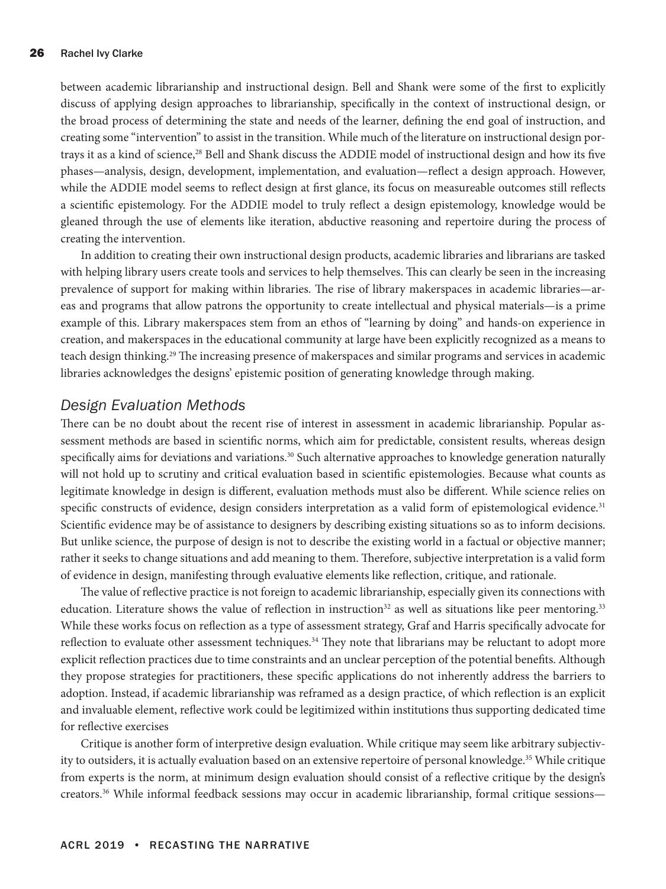between academic librarianship and instructional design. Bell and Shank were some of the first to explicitly discuss of applying design approaches to librarianship, specifically in the context of instructional design, or the broad process of determining the state and needs of the learner, defining the end goal of instruction, and creating some "intervention" to assist in the transition. While much of the literature on instructional design portrays it as a kind of science,<sup>28</sup> Bell and Shank discuss the ADDIE model of instructional design and how its five phases—analysis, design, development, implementation, and evaluation—reflect a design approach. However, while the ADDIE model seems to reflect design at first glance, its focus on measureable outcomes still reflects a scientific epistemology. For the ADDIE model to truly reflect a design epistemology, knowledge would be gleaned through the use of elements like iteration, abductive reasoning and repertoire during the process of creating the intervention.

In addition to creating their own instructional design products, academic libraries and librarians are tasked with helping library users create tools and services to help themselves. This can clearly be seen in the increasing prevalence of support for making within libraries. The rise of library makerspaces in academic libraries—areas and programs that allow patrons the opportunity to create intellectual and physical materials—is a prime example of this. Library makerspaces stem from an ethos of "learning by doing" and hands-on experience in creation, and makerspaces in the educational community at large have been explicitly recognized as a means to teach design thinking.29 The increasing presence of makerspaces and similar programs and services in academic libraries acknowledges the designs' epistemic position of generating knowledge through making.

#### *Design Evaluation Methods*

There can be no doubt about the recent rise of interest in assessment in academic librarianship. Popular assessment methods are based in scientific norms, which aim for predictable, consistent results, whereas design specifically aims for deviations and variations.<sup>30</sup> Such alternative approaches to knowledge generation naturally will not hold up to scrutiny and critical evaluation based in scientific epistemologies. Because what counts as legitimate knowledge in design is different, evaluation methods must also be different. While science relies on specific constructs of evidence, design considers interpretation as a valid form of epistemological evidence.<sup>31</sup> Scientific evidence may be of assistance to designers by describing existing situations so as to inform decisions. But unlike science, the purpose of design is not to describe the existing world in a factual or objective manner; rather it seeks to change situations and add meaning to them. Therefore, subjective interpretation is a valid form of evidence in design, manifesting through evaluative elements like reflection, critique, and rationale.

The value of reflective practice is not foreign to academic librarianship, especially given its connections with education. Literature shows the value of reflection in instruction<sup>32</sup> as well as situations like peer mentoring.<sup>33</sup> While these works focus on reflection as a type of assessment strategy, Graf and Harris specifically advocate for reflection to evaluate other assessment techniques.34 They note that librarians may be reluctant to adopt more explicit reflection practices due to time constraints and an unclear perception of the potential benefits. Although they propose strategies for practitioners, these specific applications do not inherently address the barriers to adoption. Instead, if academic librarianship was reframed as a design practice, of which reflection is an explicit and invaluable element, reflective work could be legitimized within institutions thus supporting dedicated time for reflective exercises

Critique is another form of interpretive design evaluation. While critique may seem like arbitrary subjectivity to outsiders, it is actually evaluation based on an extensive repertoire of personal knowledge.<sup>35</sup> While critique from experts is the norm, at minimum design evaluation should consist of a reflective critique by the design's creators.36 While informal feedback sessions may occur in academic librarianship, formal critique sessions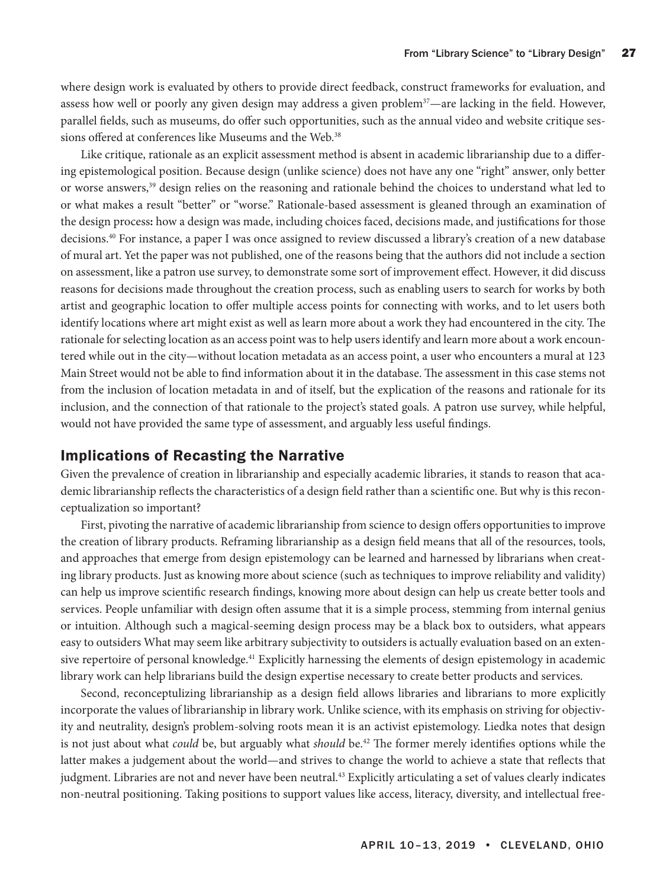where design work is evaluated by others to provide direct feedback, construct frameworks for evaluation, and assess how well or poorly any given design may address a given problem<sup>37</sup>—are lacking in the field. However, parallel fields, such as museums, do offer such opportunities, such as the annual video and website critique sessions offered at conferences like Museums and the Web.<sup>38</sup>

Like critique, rationale as an explicit assessment method is absent in academic librarianship due to a differing epistemological position. Because design (unlike science) does not have any one "right" answer, only better or worse answers,39 design relies on the reasoning and rationale behind the choices to understand what led to or what makes a result "better" or "worse." Rationale-based assessment is gleaned through an examination of the design process**:** how a design was made, including choices faced, decisions made, and justifications for those decisions.40 For instance, a paper I was once assigned to review discussed a library's creation of a new database of mural art. Yet the paper was not published, one of the reasons being that the authors did not include a section on assessment, like a patron use survey, to demonstrate some sort of improvement effect. However, it did discuss reasons for decisions made throughout the creation process, such as enabling users to search for works by both artist and geographic location to offer multiple access points for connecting with works, and to let users both identify locations where art might exist as well as learn more about a work they had encountered in the city. The rationale for selecting location as an access point was to help users identify and learn more about a work encountered while out in the city—without location metadata as an access point, a user who encounters a mural at 123 Main Street would not be able to find information about it in the database. The assessment in this case stems not from the inclusion of location metadata in and of itself, but the explication of the reasons and rationale for its inclusion, and the connection of that rationale to the project's stated goals. A patron use survey, while helpful, would not have provided the same type of assessment, and arguably less useful findings.

#### Implications of Recasting the Narrative

Given the prevalence of creation in librarianship and especially academic libraries, it stands to reason that academic librarianship reflects the characteristics of a design field rather than a scientific one. But why is this reconceptualization so important?

First, pivoting the narrative of academic librarianship from science to design offers opportunities to improve the creation of library products. Reframing librarianship as a design field means that all of the resources, tools, and approaches that emerge from design epistemology can be learned and harnessed by librarians when creating library products. Just as knowing more about science (such as techniques to improve reliability and validity) can help us improve scientific research findings, knowing more about design can help us create better tools and services. People unfamiliar with design often assume that it is a simple process, stemming from internal genius or intuition. Although such a magical-seeming design process may be a black box to outsiders, what appears easy to outsiders What may seem like arbitrary subjectivity to outsiders is actually evaluation based on an extensive repertoire of personal knowledge.<sup>41</sup> Explicitly harnessing the elements of design epistemology in academic library work can help librarians build the design expertise necessary to create better products and services.

Second, reconceptulizing librarianship as a design field allows libraries and librarians to more explicitly incorporate the values of librarianship in library work. Unlike science, with its emphasis on striving for objectivity and neutrality, design's problem-solving roots mean it is an activist epistemology. Liedka notes that design is not just about what *could* be, but arguably what *should* be.<sup>42</sup> The former merely identifies options while the latter makes a judgement about the world—and strives to change the world to achieve a state that reflects that judgment. Libraries are not and never have been neutral.<sup>43</sup> Explicitly articulating a set of values clearly indicates non-neutral positioning. Taking positions to support values like access, literacy, diversity, and intellectual free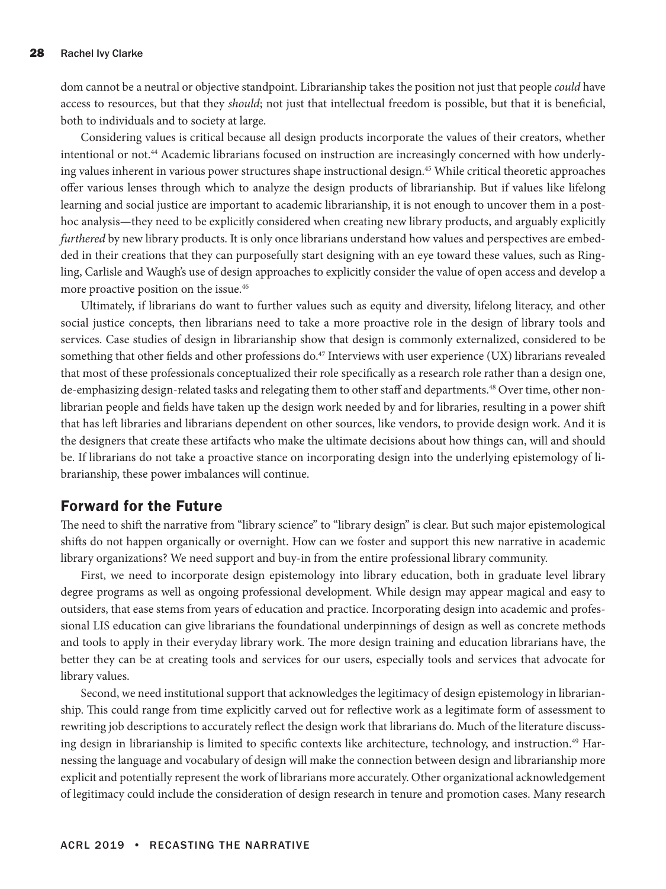dom cannot be a neutral or objective standpoint. Librarianship takes the position not just that people *could* have access to resources, but that they *should*; not just that intellectual freedom is possible, but that it is beneficial, both to individuals and to society at large.

Considering values is critical because all design products incorporate the values of their creators, whether intentional or not.44 Academic librarians focused on instruction are increasingly concerned with how underlying values inherent in various power structures shape instructional design.<sup>45</sup> While critical theoretic approaches offer various lenses through which to analyze the design products of librarianship. But if values like lifelong learning and social justice are important to academic librarianship, it is not enough to uncover them in a posthoc analysis—they need to be explicitly considered when creating new library products, and arguably explicitly *furthered* by new library products. It is only once librarians understand how values and perspectives are embedded in their creations that they can purposefully start designing with an eye toward these values, such as Ringling, Carlisle and Waugh's use of design approaches to explicitly consider the value of open access and develop a more proactive position on the issue.<sup>46</sup>

Ultimately, if librarians do want to further values such as equity and diversity, lifelong literacy, and other social justice concepts, then librarians need to take a more proactive role in the design of library tools and services. Case studies of design in librarianship show that design is commonly externalized, considered to be something that other fields and other professions do.<sup>47</sup> Interviews with user experience (UX) librarians revealed that most of these professionals conceptualized their role specifically as a research role rather than a design one, de-emphasizing design-related tasks and relegating them to other staff and departments.48 Over time, other nonlibrarian people and fields have taken up the design work needed by and for libraries, resulting in a power shift that has left libraries and librarians dependent on other sources, like vendors, to provide design work. And it is the designers that create these artifacts who make the ultimate decisions about how things can, will and should be. If librarians do not take a proactive stance on incorporating design into the underlying epistemology of librarianship, these power imbalances will continue.

#### Forward for the Future

The need to shift the narrative from "library science" to "library design" is clear. But such major epistemological shifts do not happen organically or overnight. How can we foster and support this new narrative in academic library organizations? We need support and buy-in from the entire professional library community.

First, we need to incorporate design epistemology into library education, both in graduate level library degree programs as well as ongoing professional development. While design may appear magical and easy to outsiders, that ease stems from years of education and practice. Incorporating design into academic and professional LIS education can give librarians the foundational underpinnings of design as well as concrete methods and tools to apply in their everyday library work. The more design training and education librarians have, the better they can be at creating tools and services for our users, especially tools and services that advocate for library values.

Second, we need institutional support that acknowledges the legitimacy of design epistemology in librarianship. This could range from time explicitly carved out for reflective work as a legitimate form of assessment to rewriting job descriptions to accurately reflect the design work that librarians do. Much of the literature discussing design in librarianship is limited to specific contexts like architecture, technology, and instruction.<sup>49</sup> Harnessing the language and vocabulary of design will make the connection between design and librarianship more explicit and potentially represent the work of librarians more accurately. Other organizational acknowledgement of legitimacy could include the consideration of design research in tenure and promotion cases. Many research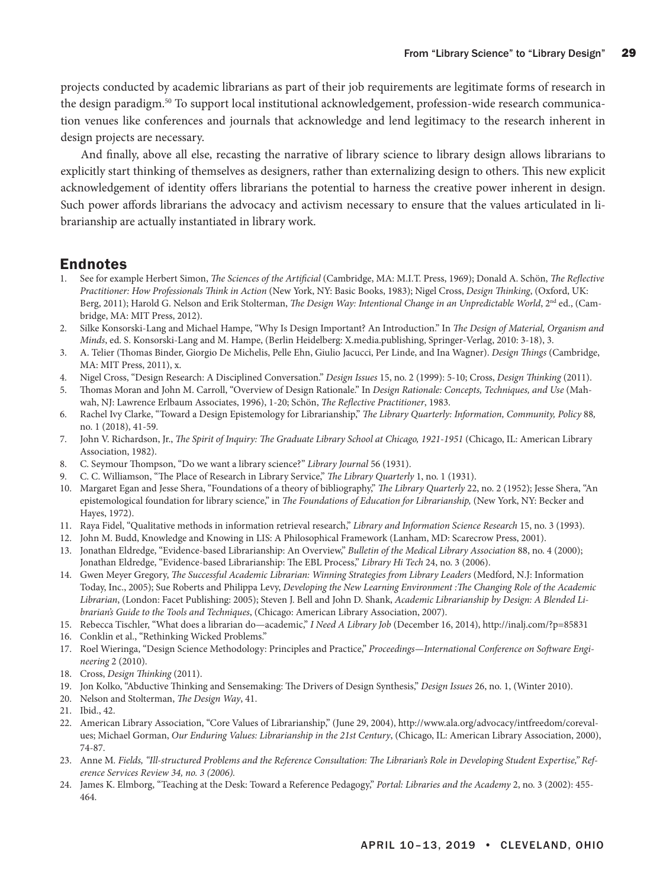projects conducted by academic librarians as part of their job requirements are legitimate forms of research in the design paradigm.50 To support local institutional acknowledgement, profession-wide research communication venues like conferences and journals that acknowledge and lend legitimacy to the research inherent in design projects are necessary.

And finally, above all else, recasting the narrative of library science to library design allows librarians to explicitly start thinking of themselves as designers, rather than externalizing design to others. This new explicit acknowledgement of identity offers librarians the potential to harness the creative power inherent in design. Such power affords librarians the advocacy and activism necessary to ensure that the values articulated in librarianship are actually instantiated in library work.

#### Endnotes

- 1. See for example Herbert Simon, *The Sciences of the Artificial* (Cambridge, MA: M.I.T. Press, 1969); Donald A. Schön, *The Reflective Practitioner: How Professionals Think in Action* (New York, NY: Basic Books, 1983); Nigel Cross, *Design Thinking*, (Oxford, UK: Berg, 2011); Harold G. Nelson and Erik Stolterman, *The Design Way: Intentional Change in an Unpredictable World*, 2<sup>nd</sup> ed., (Cambridge, MA: MIT Press, 2012).
- 2. Silke Konsorski-Lang and Michael Hampe, "Why Is Design Important? An Introduction." In *The Design of Material, Organism and Minds*, ed. S. Konsorski-Lang and M. Hampe, (Berlin Heidelberg: X.media.publishing, Springer-Verlag, 2010: 3-18), 3.
- 3. A. Telier (Thomas Binder, Giorgio De Michelis, Pelle Ehn, Giulio Jacucci, Per Linde, and Ina Wagner). *Design Things* (Cambridge, MA: MIT Press, 2011), x.
- 4. Nigel Cross, "Design Research: A Disciplined Conversation." *Design Issues* 15, no. 2 (1999): 5-10; Cross, *Design Thinking* (2011).
- 5. Thomas Moran and John M. Carroll, "Overview of Design Rationale." In *Design Rationale: Concepts, Techniques, and Use* (Mahwah, NJ: Lawrence Erlbaum Associates, 1996), 1-20; Schön, *The Reflective Practitioner*, 1983.
- 6. Rachel Ivy Clarke, "Toward a Design Epistemology for Librarianship," *The Library Quarterly: Information, Community, Policy* 88*,*  no. 1 (2018), 41-59.
- 7. John V. Richardson, Jr., *The Spirit of Inquiry: The Graduate Library School at Chicago, 1921-1951* (Chicago, IL: American Library Association, 1982).
- 8. C. Seymour Thompson, "Do we want a library science?" *Library Journal* 56 (1931).
- 9. C. C. Williamson, "The Place of Research in Library Service," *The Library Quarterly* 1, no. 1 (1931).
- 10. Margaret Egan and Jesse Shera, "Foundations of a theory of bibliography," *The Library Quarterly* 22, no. 2 (1952); Jesse Shera, "An epistemological foundation for library science," in *The Foundations of Education for Librarianship,* (New York, NY: Becker and Hayes, 1972).
- 11. Raya Fidel, "Qualitative methods in information retrieval research," *Library and Information Science Research* 15, no. 3 (1993).
- 12. John M. Budd, Knowledge and Knowing in LIS: A Philosophical Framework (Lanham, MD: Scarecrow Press, 2001).
- 13. Jonathan Eldredge, "Evidence-based Librarianship: An Overview," *Bulletin of the Medical Library Association* 88, no. 4 (2000); Jonathan Eldredge, "Evidence‐based Librarianship: The EBL Process," *Library Hi Tech* 24, no. 3 (2006).
- 14. Gwen Meyer Gregory, *The Successful Academic Librarian: Winning Strategies from Library Leaders* (Medford, N.J: Information Today, Inc., 2005); Sue Roberts and Philippa Levy, *Developing the New Learning Environment :The Changing Role of the Academic Librarian*, (London: Facet Publishing: 2005); Steven J. Bell and John D. Shank, *Academic Librarianship by Design: A Blended Librarian's Guide to the Tools and Techniques*, (Chicago: American Library Association, 2007).
- 15. Rebecca Tischler, "What does a librarian do—academic," *I Need A Library Job* (December 16, 2014), <http://inalj.com/?p=85831>
- 16. Conklin et al., "Rethinking Wicked Problems."
- 17. Roel Wieringa, "Design Science Methodology: Principles and Practice," *Proceedings—International Conference on Software Engineering* 2 (2010).
- 18. Cross, *Design Thinking* (2011).
- 19. Jon Kolko, "Abductive Thinking and Sensemaking: The Drivers of Design Synthesis," *Design Issues* 26, no. 1, (Winter 2010).
- 20. Nelson and Stolterman, *The Design Way*, 41.
- 21. Ibid., 42.
- 22. American Library Association, "Core Values of Librarianship," (June 29, 2004), [http://www.ala.org/advocacy/intfreedom/coreval](http://www.ala.org/advocacy/intfreedom/corevalues)[ues](http://www.ala.org/advocacy/intfreedom/corevalues); Michael Gorman, *Our Enduring Values: Librarianship in the 21st Century*, (Chicago, IL: American Library Association, 2000), 74-87.
- 23. Anne M*. Fields, "Ill-structured Problems and the Reference Consultation: The Librarian's Role in Developing Student Expertise," Reference Services Review 34, no. 3 (2006).*
- 24. James K. Elmborg, "Teaching at the Desk: Toward a Reference Pedagogy," *Portal: Libraries and the Academy* 2, no. 3 (2002): 455- 464.